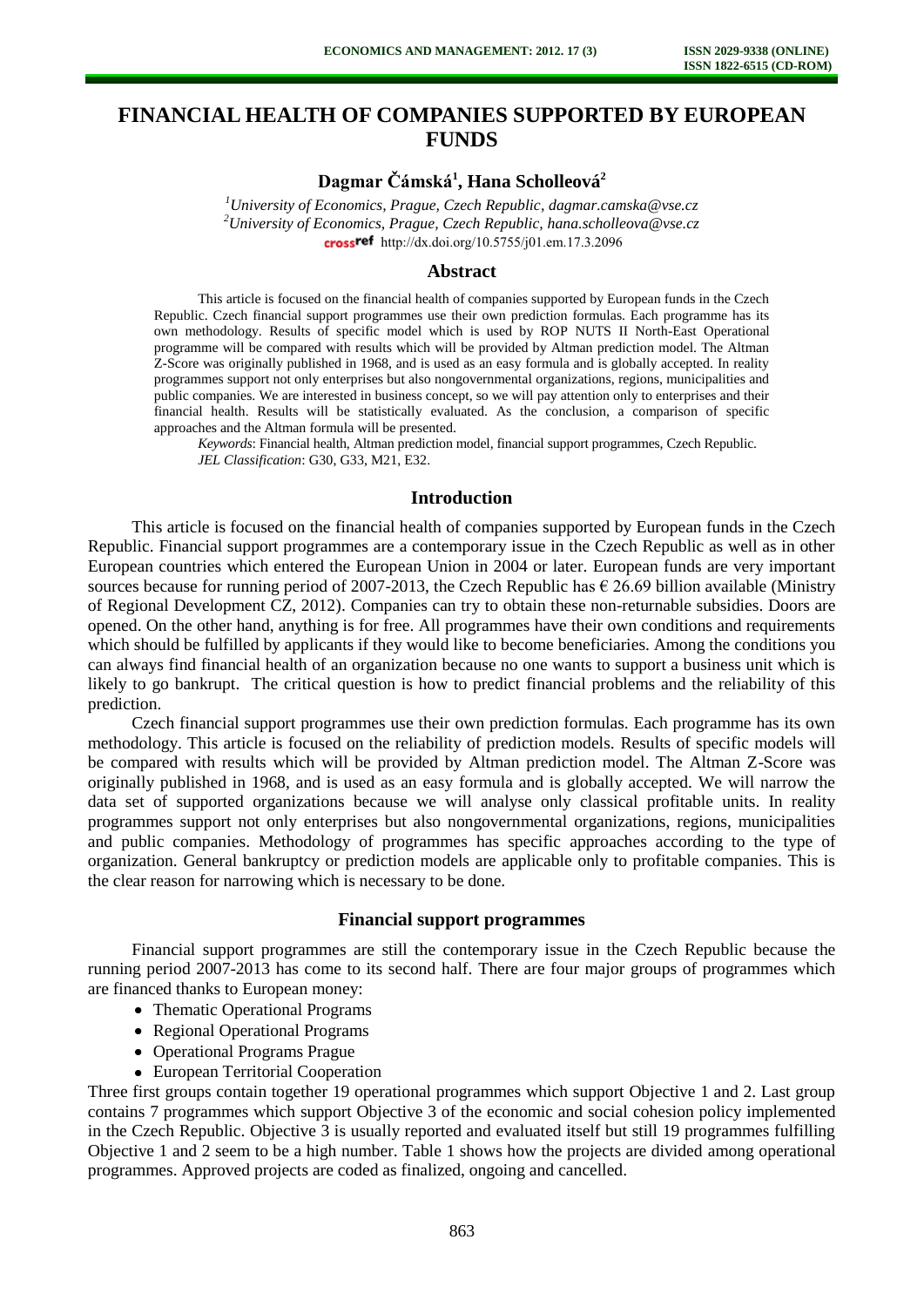# **FINANCIAL HEALTH OF COMPANIES SUPPORTED BY EUROPEAN FUNDS**

## **Dagmar Čámská<sup>1</sup> , Hana Scholleová<sup>2</sup>**

*<sup>1</sup>University of Economics, Prague, Czech Republic, dagmar.camska@vse.cz <sup>2</sup>University of Economics, Prague, Czech Republic, hana.scholleova@vse.cz*  cross<sup>ref</sup> [http://dx.doi.org/10.5755/j01.e](http://dx.doi.org/10.5755/j01.em.17.3.2096)m.17.3.2096

### **Abstract**

This article is focused on the financial health of companies supported by European funds in the Czech Republic. Czech financial support programmes use their own prediction formulas. Each programme has its own methodology. Results of specific model which is used by ROP NUTS II North-East Operational programme will be compared with results which will be provided by Altman prediction model. The Altman Z-Score was originally published in 1968, and is used as an easy formula and is globally accepted. In reality programmes support not only enterprises but also nongovernmental organizations, regions, municipalities and public companies. We are interested in business concept, so we will pay attention only to enterprises and their financial health. Results will be statistically evaluated. As the conclusion, a comparison of specific approaches and the Altman formula will be presented.

*Keywords*: Financial health, Altman prediction model, financial support programmes, Czech Republic. *JEL Classification*: G30, G33, M21, E32.

### **Introduction**

This article is focused on the financial health of companies supported by European funds in the Czech Republic. Financial support programmes are a contemporary issue in the Czech Republic as well as in other European countries which entered the European Union in 2004 or later. European funds are very important sources because for running period of 2007-2013, the Czech Republic has  $\epsilon$  26.69 billion available (Ministry of Regional Development CZ, 2012). Companies can try to obtain these non-returnable subsidies. Doors are opened. On the other hand, anything is for free. All programmes have their own conditions and requirements which should be fulfilled by applicants if they would like to become beneficiaries. Among the conditions you can always find financial health of an organization because no one wants to support a business unit which is likely to go bankrupt. The critical question is how to predict financial problems and the reliability of this prediction.

Czech financial support programmes use their own prediction formulas. Each programme has its own methodology. This article is focused on the reliability of prediction models. Results of specific models will be compared with results which will be provided by Altman prediction model. The Altman Z-Score was originally published in 1968, and is used as an easy formula and is globally accepted. We will narrow the data set of supported organizations because we will analyse only classical profitable units. In reality programmes support not only enterprises but also nongovernmental organizations, regions, municipalities and public companies. Methodology of programmes has specific approaches according to the type of organization. General bankruptcy or prediction models are applicable only to profitable companies. This is the clear reason for narrowing which is necessary to be done.

### **Financial support programmes**

Financial support programmes are still the contemporary issue in the Czech Republic because the running period 2007-2013 has come to its second half. There are four major groups of programmes which are financed thanks to European money:

- Thematic Operational Programs
- Regional Operational Programs
- Operational Programs Prague
- European Territorial Cooperation

Three first groups contain together 19 operational programmes which support Objective 1 and 2. Last group contains 7 programmes which support Objective 3 of the economic and social cohesion policy implemented in the Czech Republic. Objective 3 is usually reported and evaluated itself but still 19 programmes fulfilling Objective 1 and 2 seem to be a high number. Table 1 shows how the projects are divided among operational programmes. Approved projects are coded as finalized, ongoing and cancelled.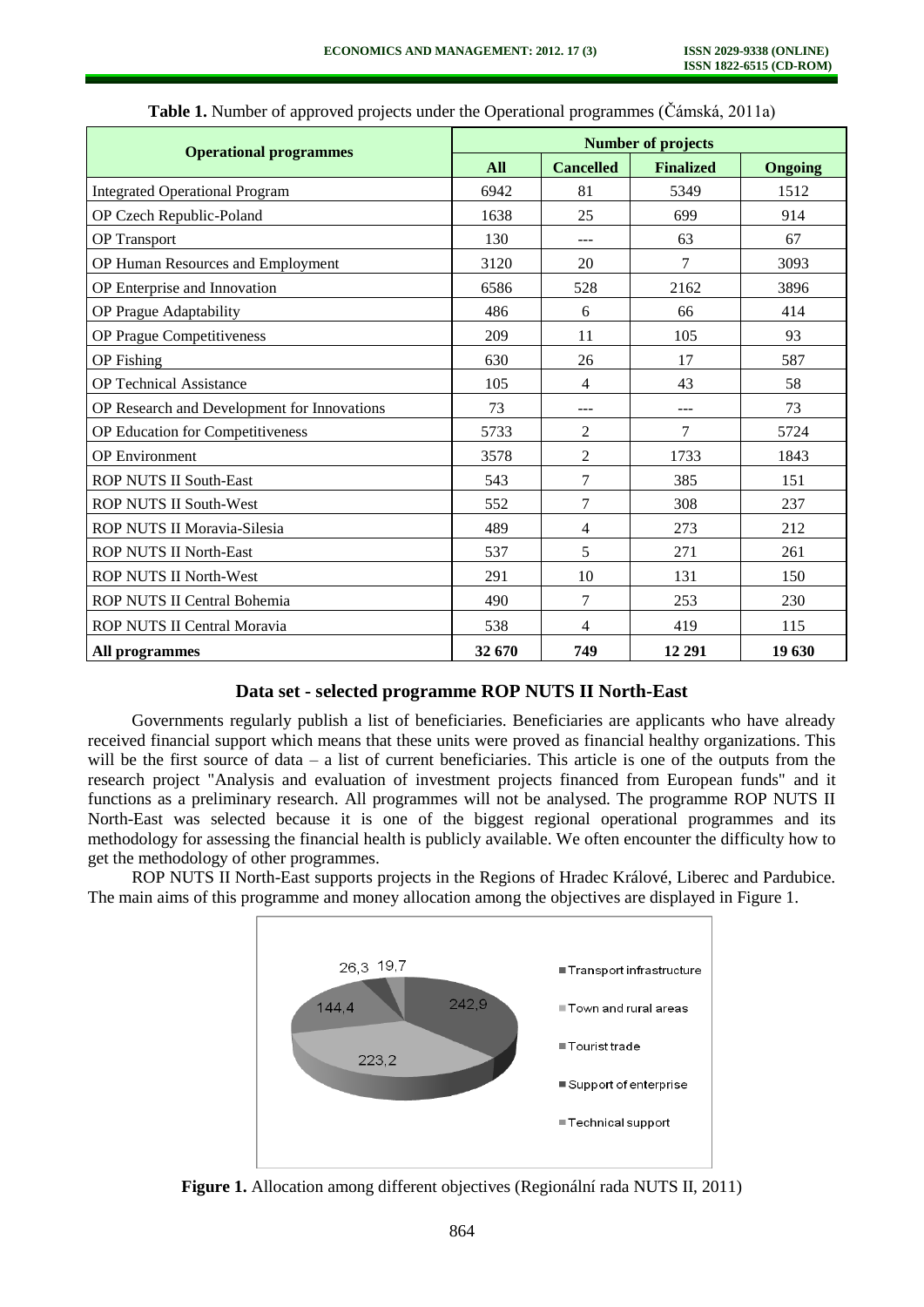| <b>Operational programmes</b>               | <b>Number of projects</b> |                  |                  |         |  |
|---------------------------------------------|---------------------------|------------------|------------------|---------|--|
|                                             | All                       | <b>Cancelled</b> | <b>Finalized</b> | Ongoing |  |
| <b>Integrated Operational Program</b>       | 6942                      | 81               | 5349             | 1512    |  |
| OP Czech Republic-Poland                    | 1638                      | 25               | 699              | 914     |  |
| <b>OP</b> Transport                         | 130                       | ---              | 63               | 67      |  |
| OP Human Resources and Employment           | 3120                      | 7<br>20          |                  | 3093    |  |
| OP Enterprise and Innovation                | 6586                      | 528              | 2162             | 3896    |  |
| OP Prague Adaptability                      | 486                       | 6                | 66               | 414     |  |
| OP Prague Competitiveness                   | 209                       | 11               | 105              | 93      |  |
| <b>OP</b> Fishing                           | 630                       | 26               | 17               | 587     |  |
| <b>OP Technical Assistance</b>              | 105                       | 4                | 43               | 58      |  |
| OP Research and Development for Innovations | 73                        | $---$            | ---              | 73      |  |
| OP Education for Competitiveness            | 5733                      | $\overline{c}$   | 7                | 5724    |  |
| <b>OP</b> Environment                       | 3578                      | $\overline{c}$   | 1733             | 1843    |  |
| <b>ROP NUTS II South-East</b>               | 543                       | 7                | 385              | 151     |  |
| ROP NUTS II South-West                      | 552                       | 7                | 308              | 237     |  |
| ROP NUTS II Moravia-Silesia                 | 489                       | 4                | 273              | 212     |  |
| <b>ROP NUTS II North-East</b>               | 537                       | 5                | 271              | 261     |  |
| ROP NUTS II North-West                      | 291                       | 10               | 131              | 150     |  |
| ROP NUTS II Central Bohemia                 | 490                       | $\overline{7}$   | 253              | 230     |  |
| ROP NUTS II Central Moravia                 | 538                       | 4                | 419              | 115     |  |
| All programmes                              | 32 670                    | 749              | 12 29 1          | 19 630  |  |

**Table 1.** Number of approved projects under the Operational programmes (Čámská, 2011a)

### **Data set - selected programme ROP NUTS II North-East**

Governments regularly publish a list of beneficiaries. Beneficiaries are applicants who have already received financial support which means that these units were proved as financial healthy organizations. This will be the first source of data – a list of current beneficiaries. This article is one of the outputs from the research project "Analysis and evaluation of investment projects financed from European funds" and it functions as a preliminary research. All programmes will not be analysed. The programme ROP NUTS II North-East was selected because it is one of the biggest regional operational programmes and its methodology for assessing the financial health is publicly available. We often encounter the difficulty how to get the methodology of other programmes.

ROP NUTS II North-East supports projects in the Regions of Hradec Králové, Liberec and Pardubice. The main aims of this programme and money allocation among the objectives are displayed in Figure 1.



**Figure 1.** Allocation among different objectives (Regionální rada NUTS II, 2011)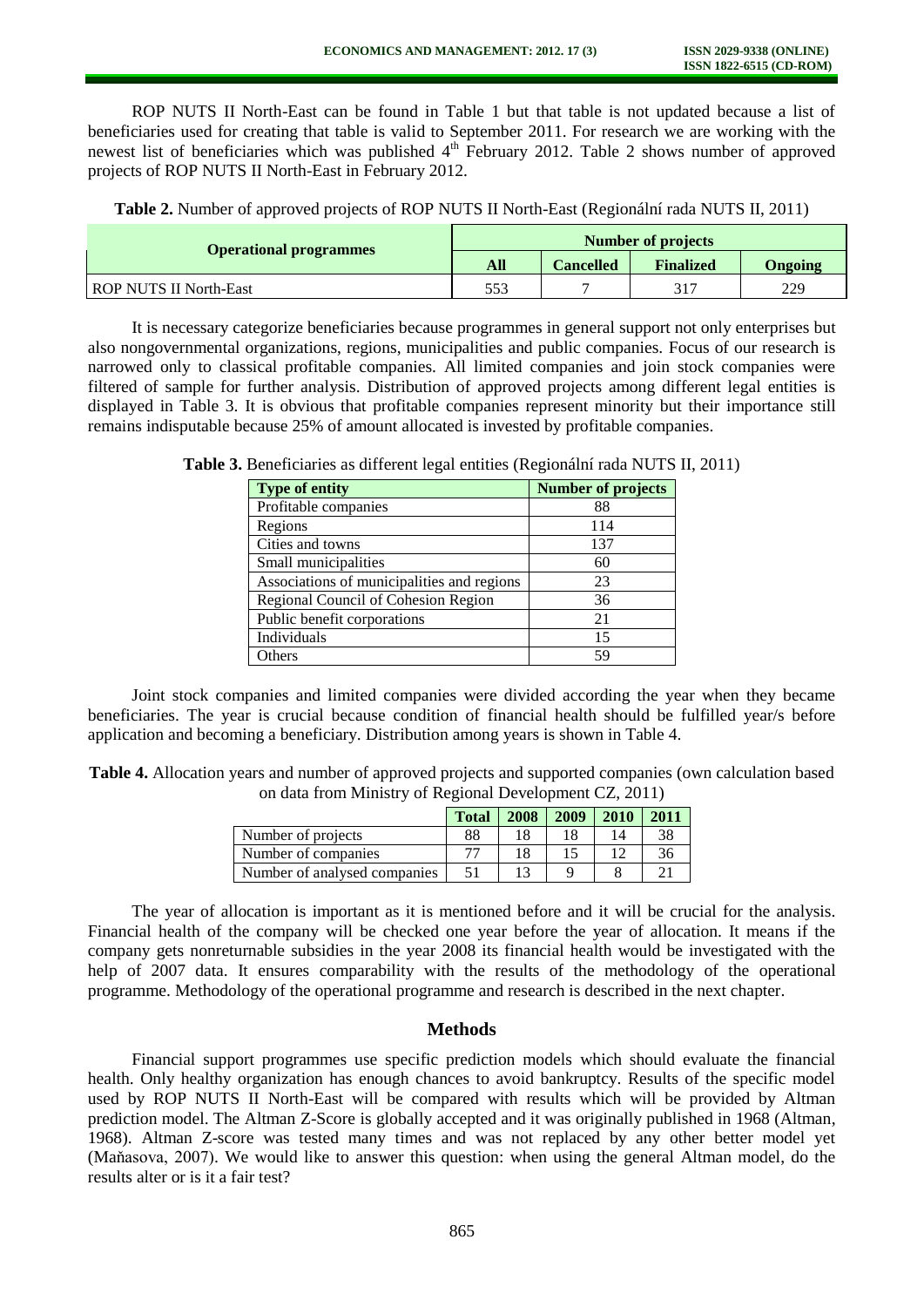ROP NUTS II North-East can be found in Table 1 but that table is not updated because a list of beneficiaries used for creating that table is valid to September 2011. For research we are working with the newest list of beneficiaries which was published  $4<sup>th</sup>$  February 2012. Table 2 shows number of approved projects of ROP NUTS II North-East in February 2012.

**Table 2.** Number of approved projects of ROP NUTS II North-East (Regionální rada NUTS II, 2011)

| <b>Operational programmes</b> | <b>Number of projects</b> |           |                  |         |  |  |
|-------------------------------|---------------------------|-----------|------------------|---------|--|--|
|                               | All                       | Cancelled | <b>Finalized</b> | Ongoing |  |  |
| <b>ROP NUTS II North-East</b> | 553                       |           | 317              | 229     |  |  |

It is necessary categorize beneficiaries because programmes in general support not only enterprises but also nongovernmental organizations, regions, municipalities and public companies. Focus of our research is narrowed only to classical profitable companies. All limited companies and join stock companies were filtered of sample for further analysis. Distribution of approved projects among different legal entities is displayed in Table 3. It is obvious that profitable companies represent minority but their importance still remains indisputable because 25% of amount allocated is invested by profitable companies.

| <b>Type of entity</b>                      | <b>Number of projects</b> |
|--------------------------------------------|---------------------------|
| Profitable companies                       | 88                        |
| Regions                                    | 114                       |
| Cities and towns                           | 137                       |
| Small municipalities                       | 60                        |
| Associations of municipalities and regions | 23                        |
| Regional Council of Cohesion Region        | 36                        |
| Public benefit corporations                | 21                        |
| Individuals                                | 15                        |
| Others                                     | 59                        |

**Table 3.** Beneficiaries as different legal entities (Regionální rada NUTS II, 2011)

Joint stock companies and limited companies were divided according the year when they became beneficiaries. The year is crucial because condition of financial health should be fulfilled year/s before application and becoming a beneficiary. Distribution among years is shown in Table 4.

**Table 4.** Allocation years and number of approved projects and supported companies (own calculation based on data from Ministry of Regional Development CZ, 2011)

|                              | <b>Total</b> | 2008 | 2009 | 2010 | 2011 |
|------------------------------|--------------|------|------|------|------|
| Number of projects           | 88           | 18   |      |      | 38   |
| Number of companies          |              | 18   |      |      | 36   |
| Number of analysed companies | 51           |      |      |      |      |

The year of allocation is important as it is mentioned before and it will be crucial for the analysis. Financial health of the company will be checked one year before the year of allocation. It means if the company gets nonreturnable subsidies in the year 2008 its financial health would be investigated with the help of 2007 data. It ensures comparability with the results of the methodology of the operational programme. Methodology of the operational programme and research is described in the next chapter.

### **Methods**

Financial support programmes use specific prediction models which should evaluate the financial health. Only healthy organization has enough chances to avoid bankruptcy. Results of the specific model used by ROP NUTS II North-East will be compared with results which will be provided by Altman prediction model. The Altman Z-Score is globally accepted and it was originally published in 1968 (Altman, 1968). Altman Z-score was tested many times and was not replaced by any other better model yet (Maňasova, 2007). We would like to answer this question: when using the general Altman model, do the results alter or is it a fair test?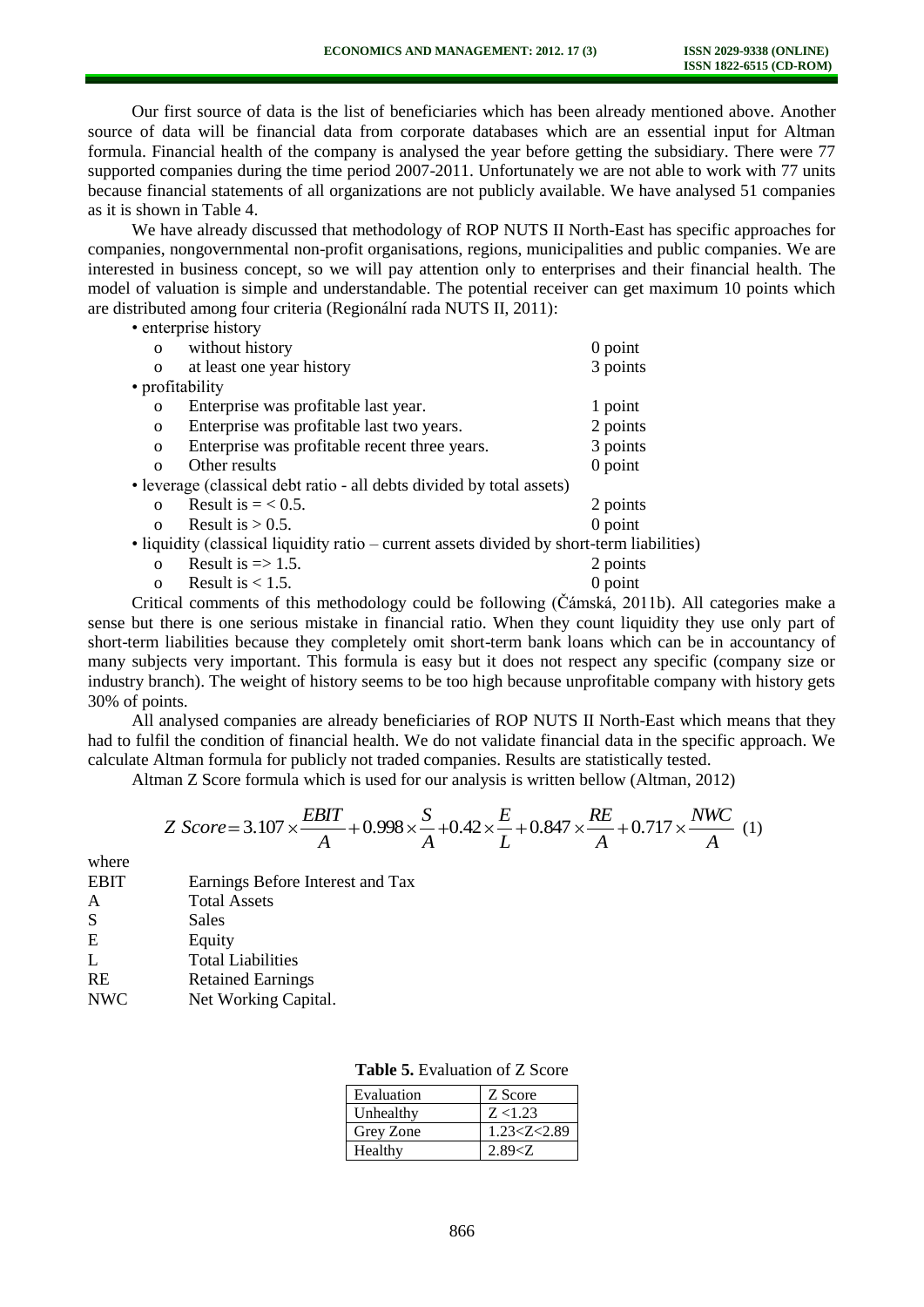Our first source of data is the list of beneficiaries which has been already mentioned above. Another source of data will be financial data from corporate databases which are an essential input for Altman formula. Financial health of the company is analysed the year before getting the subsidiary. There were 77 supported companies during the time period 2007-2011. Unfortunately we are not able to work with 77 units because financial statements of all organizations are not publicly available. We have analysed 51 companies as it is shown in Table 4.

We have already discussed that methodology of ROP NUTS II North-East has specific approaches for companies, nongovernmental non-profit organisations, regions, municipalities and public companies. We are interested in business concept, so we will pay attention only to enterprises and their financial health. The model of valuation is simple and understandable. The potential receiver can get maximum 10 points which are distributed among four criteria (Regionální rada NUTS II, 2011):

• enterprise history o without history 0 point<br>
o at least one year history 3 points<br>
3 points o at least one year history • profitability o Enterprise was profitable last year. 1 point o Enterprise was profitable last two years. 2 points o Enterprise was profitable recent three years. 3 points o Other results 0 point • leverage (classical debt ratio - all debts divided by total assets) o Result is  $= < 0.5$ . 2 points o Result is  $> 0.5$ . 0 point

• liquidity (classical liquidity ratio – current assets divided by short-term liabilities)

| o Result is $\Rightarrow$ 1.5. | 2 points |
|--------------------------------|----------|
|                                |          |

o Result is  $< 1.5$ . 0 point

Critical comments of this methodology could be following (Čámská, 2011b). All categories make a sense but there is one serious mistake in financial ratio. When they count liquidity they use only part of short-term liabilities because they completely omit short-term bank loans which can be in accountancy of many subjects very important. This formula is easy but it does not respect any specific (company size or industry branch). The weight of history seems to be too high because unprofitable company with history gets 30% of points.

All analysed companies are already beneficiaries of ROP NUTS II North-East which means that they had to fulfil the condition of financial health. We do not validate financial data in the specific approach. We calculate Altman formula for publicly not traded companies. Results are statistically tested.

Altman Z Score formula which is used for our analysis is written bellow (Altman, 2012)

$$
Z\ Score = 3.107 \times \frac{EBIT}{A} + 0.998 \times \frac{S}{A} + 0.42 \times \frac{E}{L} + 0.847 \times \frac{RE}{A} + 0.717 \times \frac{NWC}{A} \tag{1}
$$

where

| <b>EBIT</b> | Earnings Before Interest and Tax |
|-------------|----------------------------------|
| A           | <b>Total Assets</b>              |
| S           | Sales                            |
| E           | Equity                           |
| L           | <b>Total Liabilities</b>         |
| <b>RE</b>   | <b>Retained Earnings</b>         |
| <b>NWC</b>  | Net Working Capital.             |

| Evaluation | Z Score         |
|------------|-----------------|
| Unhealthy  | Z < 1.23        |
| Grey Zone  | 1.23 < Z < 2.89 |
| Healthy    | 2.89 < Z        |

| <b>Table 5.</b> Evaluation of Z Score |  |
|---------------------------------------|--|
|---------------------------------------|--|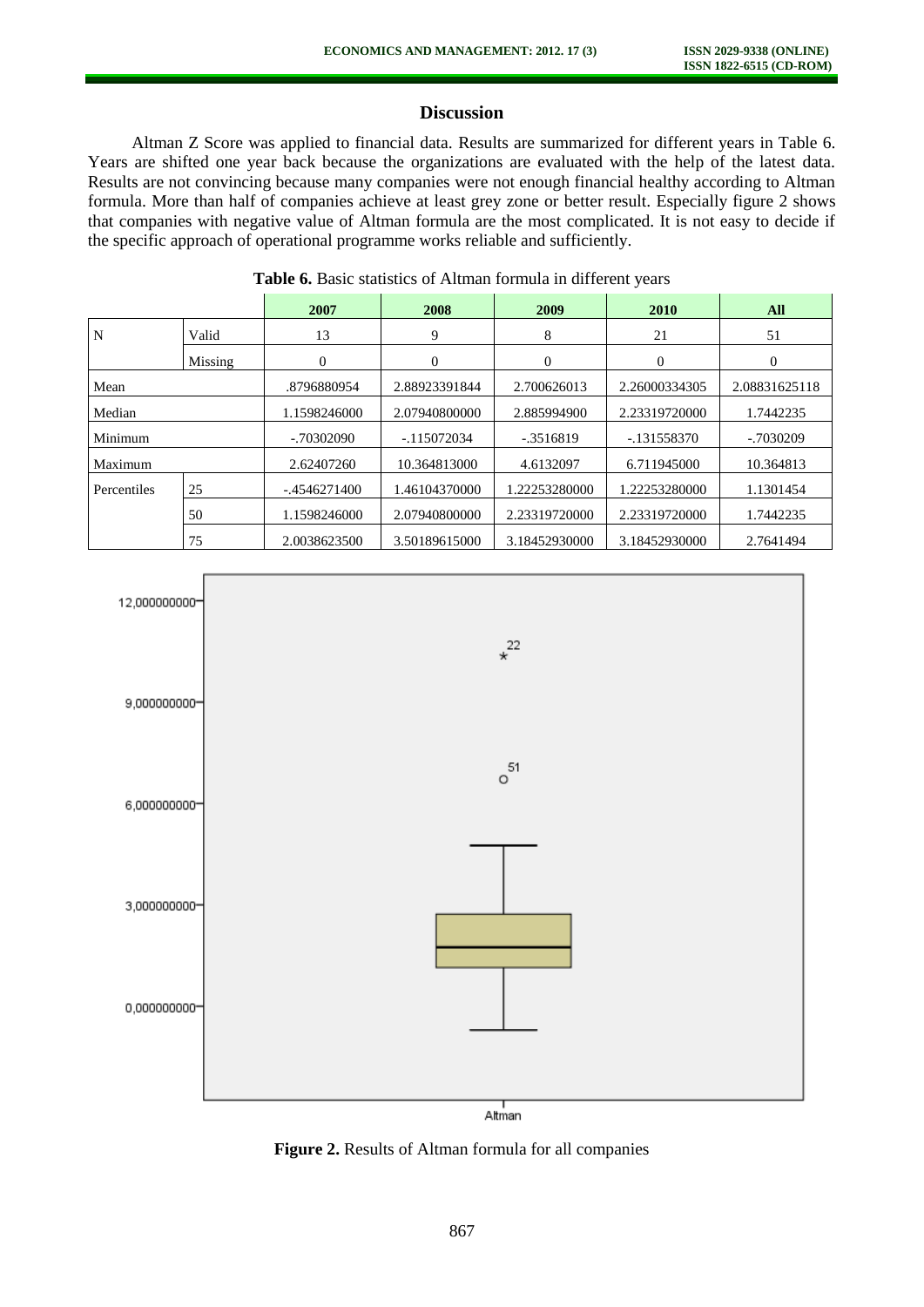## **Discussion**

Altman Z Score was applied to financial data. Results are summarized for different years in Table 6. Years are shifted one year back because the organizations are evaluated with the help of the latest data. Results are not convincing because many companies were not enough financial healthy according to Altman formula. More than half of companies achieve at least grey zone or better result. Especially figure 2 shows that companies with negative value of Altman formula are the most complicated. It is not easy to decide if the specific approach of operational programme works reliable and sufficiently.

|             |         | 2007           | 2008          | 2009          | 2010          | All           |
|-------------|---------|----------------|---------------|---------------|---------------|---------------|
| N           | Valid   | 13             | 9             | 8             | 21            | 51            |
|             | Missing | $\Omega$       | $\Omega$      | $\theta$      | $\Omega$      | $\Omega$      |
| Mean        |         | .8796880954    | 2.88923391844 | 2.700626013   | 2.26000334305 | 2.08831625118 |
| Median      |         | 1.1598246000   | 2.07940800000 | 2.885994900   | 2.23319720000 | 1.7442235     |
| Minimum     |         | $-0.70302090$  | $-115072034$  | -.3516819     | $-.131558370$ | -.7030209     |
| Maximum     |         | 2.62407260     | 10.364813000  | 4.6132097     | 6.711945000   | 10.364813     |
| Percentiles | 25      | $-.4546271400$ | 1.46104370000 | .22253280000  | .22253280000  | 1.1301454     |
|             | 50      | 1.1598246000   | 2.07940800000 | 2.23319720000 | 2.23319720000 | 1.7442235     |
|             | 75      | 2.0038623500   | 3.50189615000 | 3.18452930000 | 3.18452930000 | 2.7641494     |

**Table 6.** Basic statistics of Altman formula in different years



**Figure 2.** Results of Altman formula for all companies